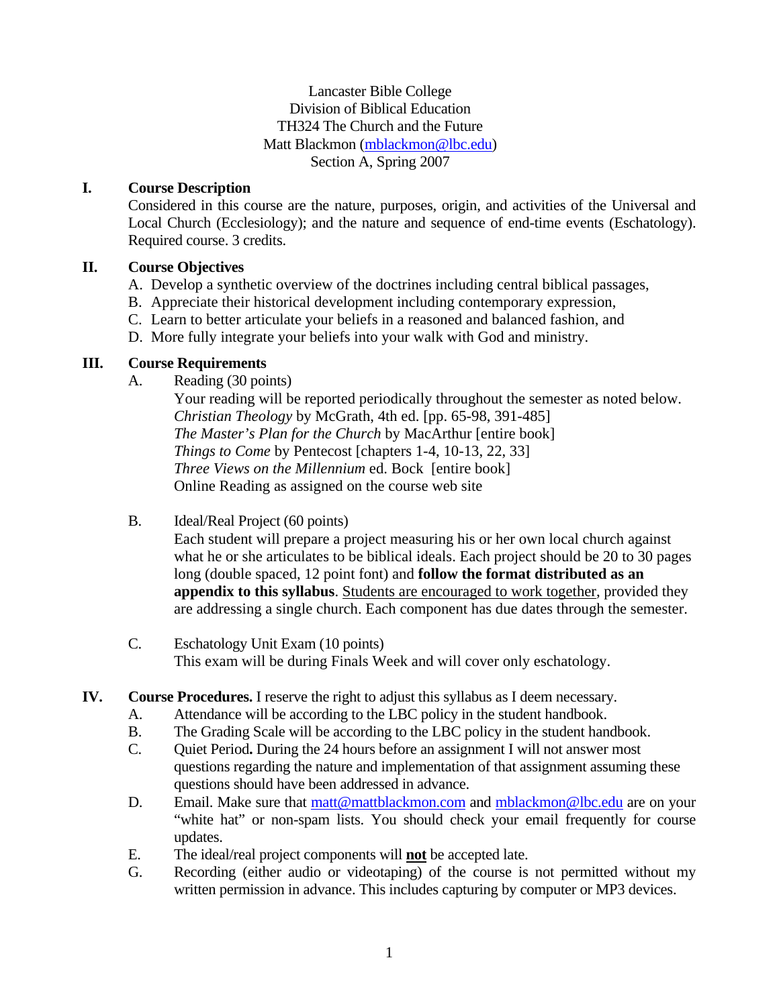Lancaster Bible College Division of Biblical Education TH324 The Church and the Future Matt Blackmon (mblackmon@lbc.edu) Section A, Spring 2007

# **I. Course Description**

 Considered in this course are the nature, purposes, origin, and activities of the Universal and Local Church (Ecclesiology); and the nature and sequence of end-time events (Eschatology). Required course. 3 credits.

# **II. Course Objectives**

- A. Develop a synthetic overview of the doctrines including central biblical passages,
- B. Appreciate their historical development including contemporary expression,
- C. Learn to better articulate your beliefs in a reasoned and balanced fashion, and
- D. More fully integrate your beliefs into your walk with God and ministry.

# **III. Course Requirements**

A. Reading (30 points)

Your reading will be reported periodically throughout the semester as noted below. *Christian Theology* by McGrath, 4th ed. [pp. 65-98, 391-485] *The Master's Plan for the Church* by MacArthur [entire book] *Things to Come* by Pentecost [chapters 1-4, 10-13, 22, 33] *Three Views on the Millennium* ed. Bock [entire book] Online Reading as assigned on the course web site

## B. Ideal/Real Project (60 points)

 Each student will prepare a project measuring his or her own local church against what he or she articulates to be biblical ideals. Each project should be 20 to 30 pages long (double spaced, 12 point font) and **follow the format distributed as an appendix to this syllabus**. Students are encouraged to work together, provided they are addressing a single church. Each component has due dates through the semester.

- C. Eschatology Unit Exam (10 points) This exam will be during Finals Week and will cover only eschatology.
- **IV. Course Procedures.** I reserve the right to adjust this syllabus as I deem necessary.
	- A. Attendance will be according to the LBC policy in the student handbook.
	- B. The Grading Scale will be according to the LBC policy in the student handbook.
	- C. Quiet Period**.** During the 24 hours before an assignment I will not answer most questions regarding the nature and implementation of that assignment assuming these questions should have been addressed in advance.
	- D. Email. Make sure that matt@mattblackmon.com and mblackmon@lbc.edu are on your "white hat" or non-spam lists. You should check your email frequently for course updates.
	- E. The ideal/real project components will **not** be accepted late.
	- G. Recording (either audio or videotaping) of the course is not permitted without my written permission in advance. This includes capturing by computer or MP3 devices.